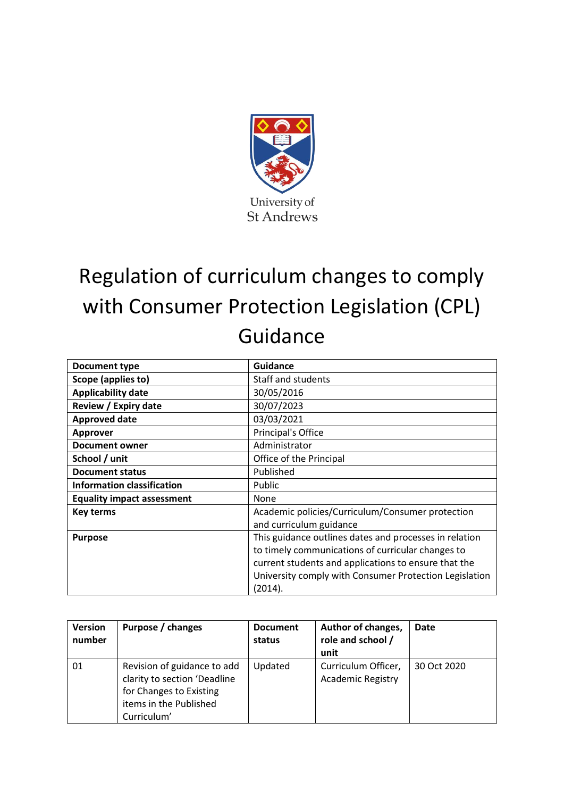

# Regulation of curriculum changes to comply with Consumer Protection Legislation (CPL) Guidance

| Document type                     | <b>Guidance</b>                                        |
|-----------------------------------|--------------------------------------------------------|
| Scope (applies to)                | Staff and students                                     |
| <b>Applicability date</b>         | 30/05/2016                                             |
| <b>Review / Expiry date</b>       | 30/07/2023                                             |
| <b>Approved date</b>              | 03/03/2021                                             |
| <b>Approver</b>                   | Principal's Office                                     |
| Document owner                    | Administrator                                          |
| School / unit                     | Office of the Principal                                |
| <b>Document status</b>            | Published                                              |
| <b>Information classification</b> | Public                                                 |
| <b>Equality impact assessment</b> | None                                                   |
| Key terms                         | Academic policies/Curriculum/Consumer protection       |
|                                   | and curriculum guidance                                |
| <b>Purpose</b>                    | This guidance outlines dates and processes in relation |
|                                   | to timely communications of curricular changes to      |
|                                   | current students and applications to ensure that the   |
|                                   | University comply with Consumer Protection Legislation |
|                                   | (2014).                                                |

| <b>Version</b><br>number | Purpose / changes                                                                                                               | <b>Document</b><br>status | Author of changes,<br>role and school /<br>unit | Date        |
|--------------------------|---------------------------------------------------------------------------------------------------------------------------------|---------------------------|-------------------------------------------------|-------------|
| 01                       | Revision of guidance to add<br>clarity to section 'Deadline<br>for Changes to Existing<br>items in the Published<br>Curriculum' | Updated                   | Curriculum Officer,<br><b>Academic Registry</b> | 30 Oct 2020 |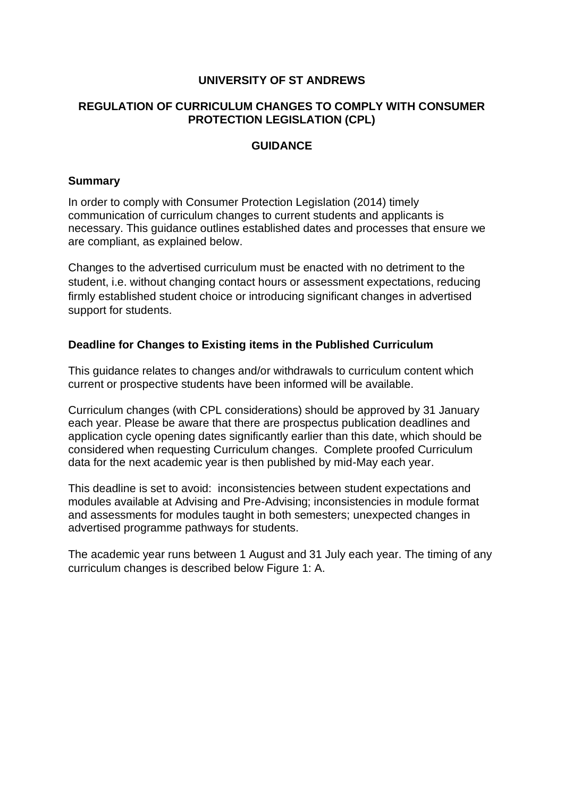## **UNIVERSITY OF ST ANDREWS**

# **REGULATION OF CURRICULUM CHANGES TO COMPLY WITH CONSUMER PROTECTION LEGISLATION (CPL)**

## **GUIDANCE**

## **Summary**

In order to comply with Consumer Protection Legislation (2014) timely communication of curriculum changes to current students and applicants is necessary. This guidance outlines established dates and processes that ensure we are compliant, as explained below.

Changes to the advertised curriculum must be enacted with no detriment to the student, i.e. without changing contact hours or assessment expectations, reducing firmly established student choice or introducing significant changes in advertised support for students.

## **Deadline for Changes to Existing items in the Published Curriculum**

This guidance relates to changes and/or withdrawals to curriculum content which current or prospective students have been informed will be available.

Curriculum changes (with CPL considerations) should be approved by 31 January each year. Please be aware that there are prospectus publication deadlines and application cycle opening dates significantly earlier than this date, which should be considered when requesting Curriculum changes. Complete proofed Curriculum data for the next academic year is then published by mid-May each year.

This deadline is set to avoid: inconsistencies between student expectations and modules available at Advising and Pre-Advising; inconsistencies in module format and assessments for modules taught in both semesters; unexpected changes in advertised programme pathways for students.

The academic year runs between 1 August and 31 July each year. The timing of any curriculum changes is described below Figure 1: A.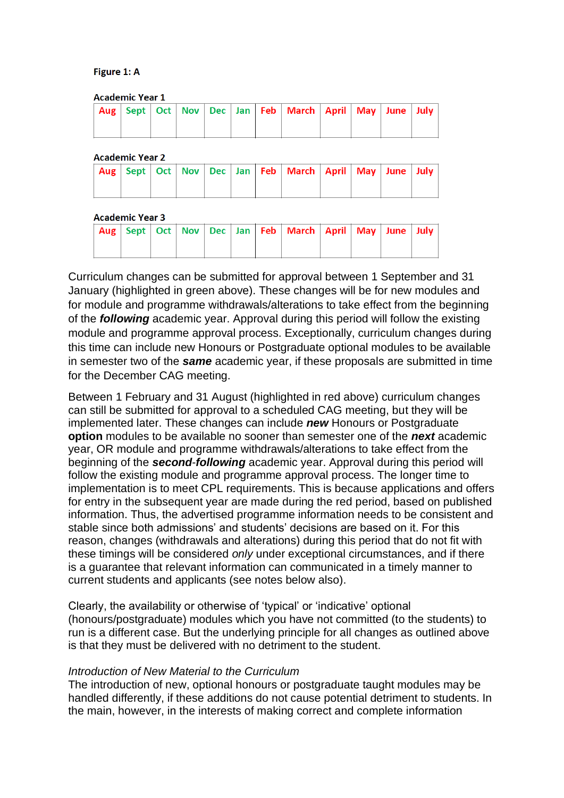#### Figure 1: A

| <b>Academic Year 1</b> |  |  |  |  |  |  |                                                                              |  |  |  |  |  |
|------------------------|--|--|--|--|--|--|------------------------------------------------------------------------------|--|--|--|--|--|
|                        |  |  |  |  |  |  | Aug   Sept   Oct   Nov   Dec   Jan   Feb   March   April   May   June   July |  |  |  |  |  |
|                        |  |  |  |  |  |  |                                                                              |  |  |  |  |  |

#### **Academic Year 2**

|  |  |  | Aug Sept Oct Nov Dec Jan Feb March April May June July |  |  |
|--|--|--|--------------------------------------------------------|--|--|
|  |  |  |                                                        |  |  |

#### **Academic Year 3**

|  |  |  | Aug   Sept   Oct   Nov   Dec   Jan   Feb   March   April   May   June   July |  |  |
|--|--|--|------------------------------------------------------------------------------|--|--|
|  |  |  |                                                                              |  |  |

Curriculum changes can be submitted for approval between 1 September and 31 January (highlighted in green above). These changes will be for new modules and for module and programme withdrawals/alterations to take effect from the beginning of the *following* academic year. Approval during this period will follow the existing module and programme approval process. Exceptionally, curriculum changes during this time can include new Honours or Postgraduate optional modules to be available in semester two of the *same* academic year, if these proposals are submitted in time for the December CAG meeting.

Between 1 February and 31 August (highlighted in red above) curriculum changes can still be submitted for approval to a scheduled CAG meeting, but they will be implemented later. These changes can include *new* Honours or Postgraduate **option** modules to be available no sooner than semester one of the *next* academic year, OR module and programme withdrawals/alterations to take effect from the beginning of the *second*-*following* academic year. Approval during this period will follow the existing module and programme approval process. The longer time to implementation is to meet CPL requirements. This is because applications and offers for entry in the subsequent year are made during the red period, based on published information. Thus, the advertised programme information needs to be consistent and stable since both admissions' and students' decisions are based on it. For this reason, changes (withdrawals and alterations) during this period that do not fit with these timings will be considered *only* under exceptional circumstances, and if there is a guarantee that relevant information can communicated in a timely manner to current students and applicants (see notes below also).

Clearly, the availability or otherwise of 'typical' or 'indicative' optional (honours/postgraduate) modules which you have not committed (to the students) to run is a different case. But the underlying principle for all changes as outlined above is that they must be delivered with no detriment to the student.

### *Introduction of New Material to the Curriculum*

The introduction of new, optional honours or postgraduate taught modules may be handled differently, if these additions do not cause potential detriment to students. In the main, however, in the interests of making correct and complete information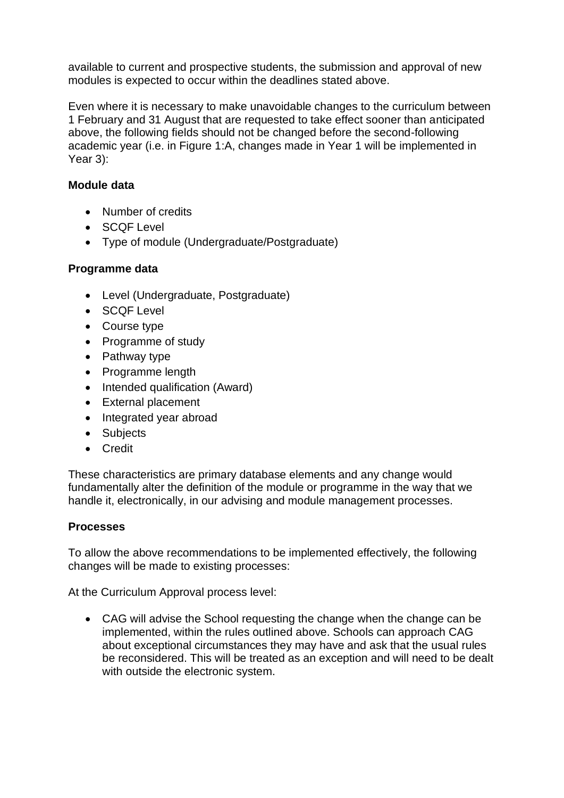available to current and prospective students, the submission and approval of new modules is expected to occur within the deadlines stated above.

Even where it is necessary to make unavoidable changes to the curriculum between 1 February and 31 August that are requested to take effect sooner than anticipated above, the following fields should not be changed before the second-following academic year (i.e. in Figure 1:A, changes made in Year 1 will be implemented in Year 3):

# **Module data**

- Number of credits
- SCQF Level
- Type of module (Undergraduate/Postgraduate)

# **Programme data**

- Level (Undergraduate, Postgraduate)
- SCQF Level
- Course type
- Programme of study
- Pathway type
- Programme length
- Intended qualification (Award)
- External placement
- Integrated year abroad
- Subjects
- Credit

These characteristics are primary database elements and any change would fundamentally alter the definition of the module or programme in the way that we handle it, electronically, in our advising and module management processes.

# **Processes**

To allow the above recommendations to be implemented effectively, the following changes will be made to existing processes:

At the Curriculum Approval process level:

• CAG will advise the School requesting the change when the change can be implemented, within the rules outlined above. Schools can approach CAG about exceptional circumstances they may have and ask that the usual rules be reconsidered. This will be treated as an exception and will need to be dealt with outside the electronic system.